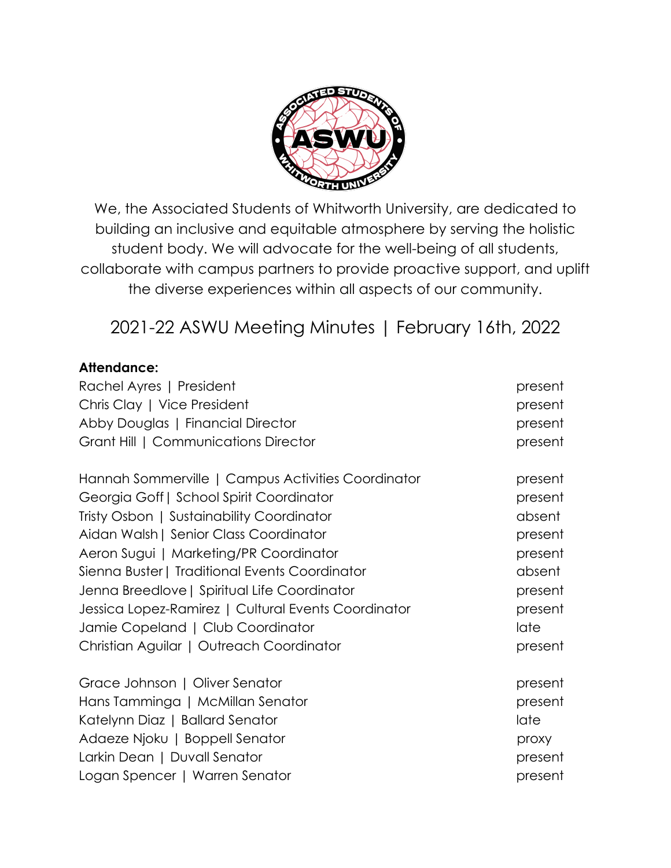

We, the Associated Students of Whitworth University, are dedicated to building an inclusive and equitable atmosphere by serving the holistic student body. We will advocate for the well-being of all students, collaborate with campus partners to provide proactive support, and uplift the diverse experiences within all aspects of our community.

2021-22 ASWU Meeting Minutes | February 16th, 2022

### **Attendance:**

| Rachel Ayres   President                            | present |
|-----------------------------------------------------|---------|
| Chris Clay   Vice President                         | present |
| Abby Douglas   Financial Director                   | present |
| Grant Hill   Communications Director                | present |
| Hannah Sommerville   Campus Activities Coordinator  | present |
| Georgia Goff   School Spirit Coordinator            | present |
| Tristy Osbon   Sustainability Coordinator           | absent  |
| Aidan Walsh   Senior Class Coordinator              | present |
| Aeron Sugui   Marketing/PR Coordinator              | present |
| Sienna Buster   Traditional Events Coordinator      | absent  |
| Jenna Breedlove   Spiritual Life Coordinator        | present |
| Jessica Lopez-Ramirez   Cultural Events Coordinator | present |
| Jamie Copeland   Club Coordinator                   | late    |
| Christian Aguilar   Outreach Coordinator            | present |
| Grace Johnson   Oliver Senator                      | present |
| Hans Tamminga   McMillan Senator                    | present |
| Katelynn Diaz   Ballard Senator                     | late    |
| Adaeze Njoku   Boppell Senator                      | proxy   |
| Larkin Dean   Duvall Senator                        | present |
| Logan Spencer   Warren Senator                      | present |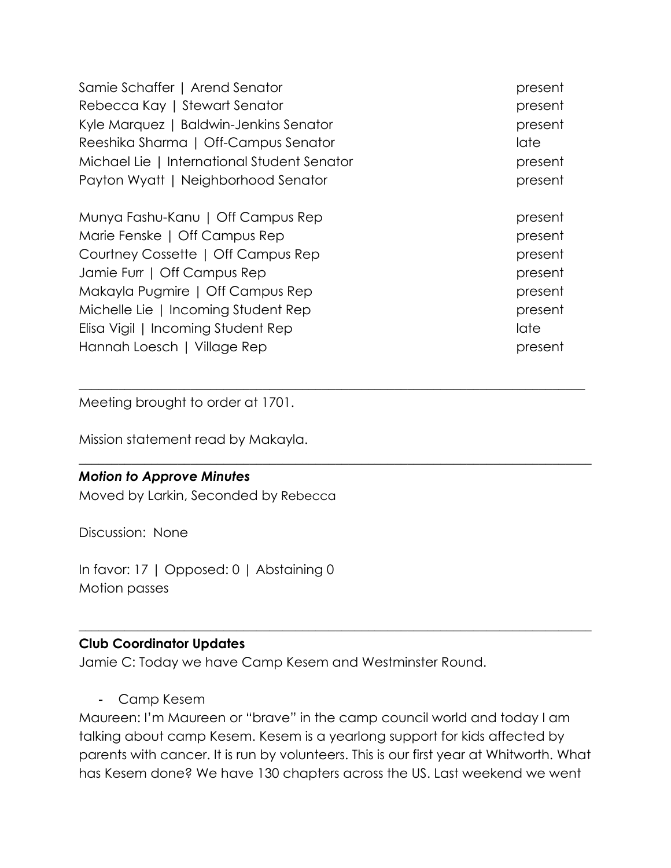| Samie Schaffer   Arend Senator              | present |
|---------------------------------------------|---------|
| Rebecca Kay   Stewart Senator               | present |
| Kyle Marquez   Baldwin-Jenkins Senator      | present |
| Reeshika Sharma   Off-Campus Senator        | late    |
| Michael Lie   International Student Senator | present |
| Payton Wyatt   Neighborhood Senator         | present |
| Munya Fashu-Kanu   Off Campus Rep           | present |
| Marie Fenske   Off Campus Rep               | present |
| Courtney Cossette   Off Campus Rep          | present |
| Jamie Furr   Off Campus Rep                 | present |
| Makayla Pugmire   Off Campus Rep            | present |
| Michelle Lie   Incoming Student Rep         | present |
| Elisa Vigil   Incoming Student Rep          | late    |
| Hannah Loesch   Village Rep                 | present |

 $\_$  , and the set of the set of the set of the set of the set of the set of the set of the set of the set of the set of the set of the set of the set of the set of the set of the set of the set of the set of the set of th

\_\_\_\_\_\_\_\_\_\_\_\_\_\_\_\_\_\_\_\_\_\_\_\_\_\_\_\_\_\_\_\_\_\_\_\_\_\_\_\_\_\_\_\_\_\_\_\_\_\_\_\_\_\_\_\_\_\_\_\_\_\_\_\_\_\_\_\_\_\_\_\_\_\_\_\_\_\_

Meeting brought to order at 1701.

Mission statement read by Makayla.

#### *Motion to Approve Minutes*

Moved by Larkin, Seconded by Rebecca

Discussion: None

In favor: 17 | Opposed: 0 | Abstaining 0 Motion passes

### **Club Coordinator Updates**

Jamie C: Today we have Camp Kesem and Westminster Round.

- Camp Kesem

Maureen: I'm Maureen or "brave" in the camp council world and today I am talking about camp Kesem. Kesem is a yearlong support for kids affected by parents with cancer. It is run by volunteers. This is our first year at Whitworth. What has Kesem done? We have 130 chapters across the US. Last weekend we went

 $\_$  , and the set of the set of the set of the set of the set of the set of the set of the set of the set of the set of the set of the set of the set of the set of the set of the set of the set of the set of the set of th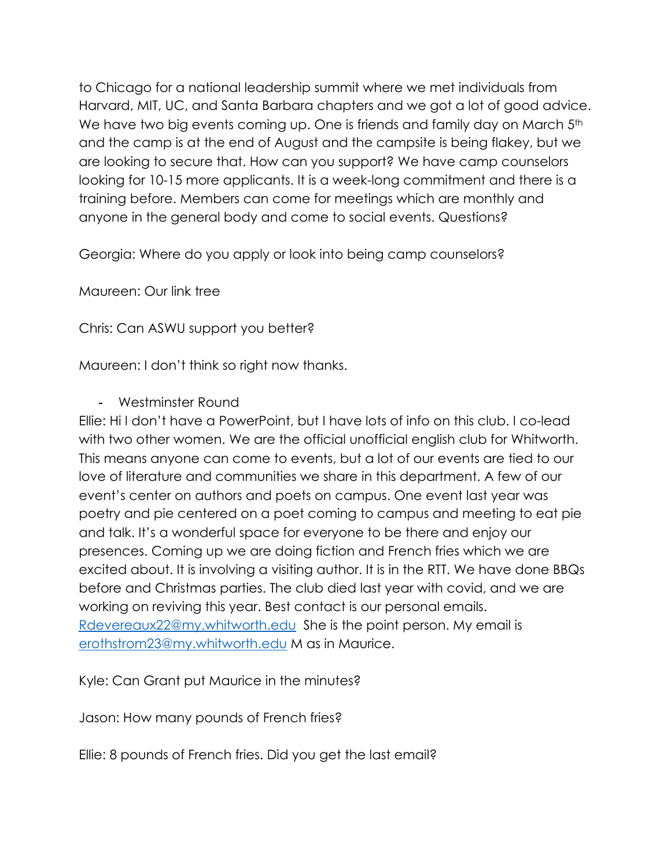to Chicago for a national leadership summit where we met individuals from Harvard, MIT, UC, and Santa Barbara chapters and we got a lot of good advice. We have two big events coming up. One is friends and family day on March 5<sup>th</sup> and the camp is at the end of August and the campsite is being flakey, but we are looking to secure that. How can you support? We have camp counselors looking for 10-15 more applicants. It is a week-long commitment and there is a training before. Members can come for meetings which are monthly and anyone in the general body and come to social events. Questions?

Georgia: Where do you apply or look into being camp counselors?

Maureen: Our link tree

Chris: Can ASWU support you better?

Maureen: I don't think so right now thanks.

# - Westminster Round

Ellie: Hi I don't have a PowerPoint, but I have lots of info on this club. I co-lead with two other women. We are the official unofficial english club for Whitworth. This means anyone can come to events, but a lot of our events are tied to our love of literature and communities we share in this department. A few of our event's center on authors and poets on campus. One event last year was poetry and pie centered on a poet coming to campus and meeting to eat pie and talk. It's a wonderful space for everyone to be there and enjoy our presences. Coming up we are doing fiction and French fries which we are excited about. It is involving a visiting author. It is in the RTT. We have done BBQs before and Christmas parties. The club died last year with covid, and we are working on reviving this year. Best contact is our personal emails. Rdevereaux22@my.whitworth.edu She is the point person. My email is erothstrom23@my.whitworth.edu M as in Maurice.

Kyle: Can Grant put Maurice in the minutes?

Jason: How many pounds of French fries?

Ellie: 8 pounds of French fries. Did you get the last email?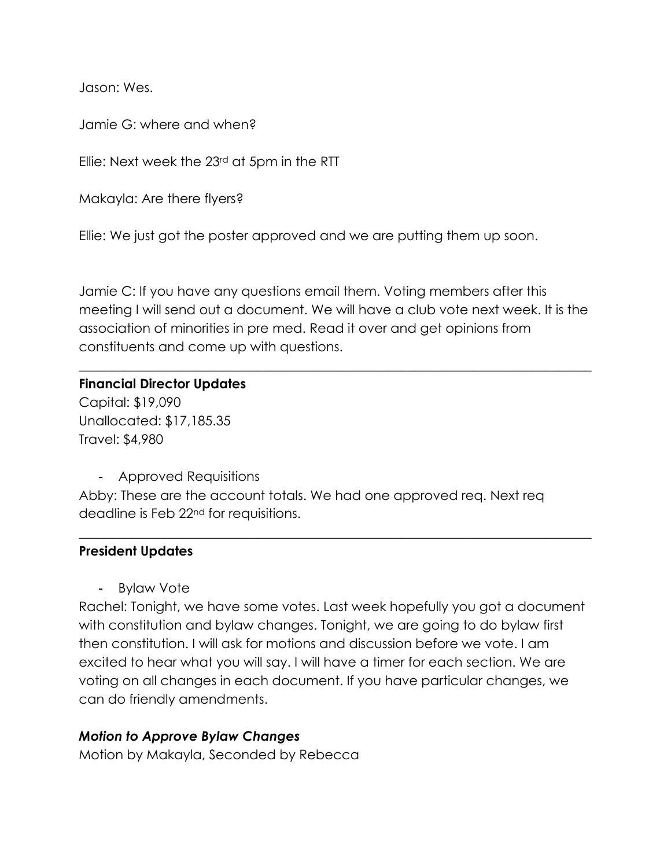Jason: Wes.

Jamie G: where and when?

Ellie: Next week the 23rd at 5pm in the RTT

Makayla: Are there flyers?

Ellie: We just got the poster approved and we are putting them up soon.

Jamie C: If you have any questions email them. Voting members after this meeting I will send out a document. We will have a club vote next week. It is the association of minorities in pre med. Read it over and get opinions from constituents and come up with questions.

\_\_\_\_\_\_\_\_\_\_\_\_\_\_\_\_\_\_\_\_\_\_\_\_\_\_\_\_\_\_\_\_\_\_\_\_\_\_\_\_\_\_\_\_\_\_\_\_\_\_\_\_\_\_\_\_\_\_\_\_\_\_\_\_\_\_\_\_\_\_\_\_\_\_\_\_\_\_

#### **Financial Director Updates**

Capital: \$19,090 Unallocated: \$17,185.35 Travel: \$4,980

- Approved Requisitions

Abby: These are the account totals. We had one approved req. Next req deadline is Feb 22nd for requisitions.

### **President Updates**

- Bylaw Vote

Rachel: Tonight, we have some votes. Last week hopefully you got a document with constitution and bylaw changes. Tonight, we are going to do bylaw first then constitution. I will ask for motions and discussion before we vote. I am excited to hear what you will say. I will have a timer for each section. We are voting on all changes in each document. If you have particular changes, we can do friendly amendments.

 $\_$  , and the set of the set of the set of the set of the set of the set of the set of the set of the set of the set of the set of the set of the set of the set of the set of the set of the set of the set of the set of th

### *Motion to Approve Bylaw Changes*

Motion by Makayla, Seconded by Rebecca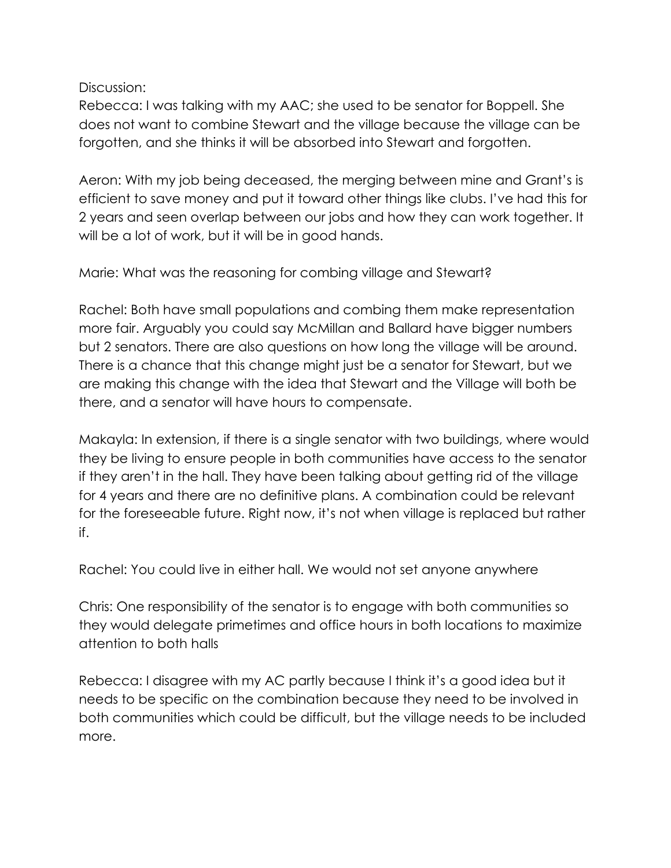Discussion:

Rebecca: I was talking with my AAC; she used to be senator for Boppell. She does not want to combine Stewart and the village because the village can be forgotten, and she thinks it will be absorbed into Stewart and forgotten.

Aeron: With my job being deceased, the merging between mine and Grant's is efficient to save money and put it toward other things like clubs. I've had this for 2 years and seen overlap between our jobs and how they can work together. It will be a lot of work, but it will be in good hands.

Marie: What was the reasoning for combing village and Stewart?

Rachel: Both have small populations and combing them make representation more fair. Arguably you could say McMillan and Ballard have bigger numbers but 2 senators. There are also questions on how long the village will be around. There is a chance that this change might just be a senator for Stewart, but we are making this change with the idea that Stewart and the Village will both be there, and a senator will have hours to compensate.

Makayla: In extension, if there is a single senator with two buildings, where would they be living to ensure people in both communities have access to the senator if they aren't in the hall. They have been talking about getting rid of the village for 4 years and there are no definitive plans. A combination could be relevant for the foreseeable future. Right now, it's not when village is replaced but rather if.

Rachel: You could live in either hall. We would not set anyone anywhere

Chris: One responsibility of the senator is to engage with both communities so they would delegate primetimes and office hours in both locations to maximize attention to both halls

Rebecca: I disagree with my AC partly because I think it's a good idea but it needs to be specific on the combination because they need to be involved in both communities which could be difficult, but the village needs to be included more.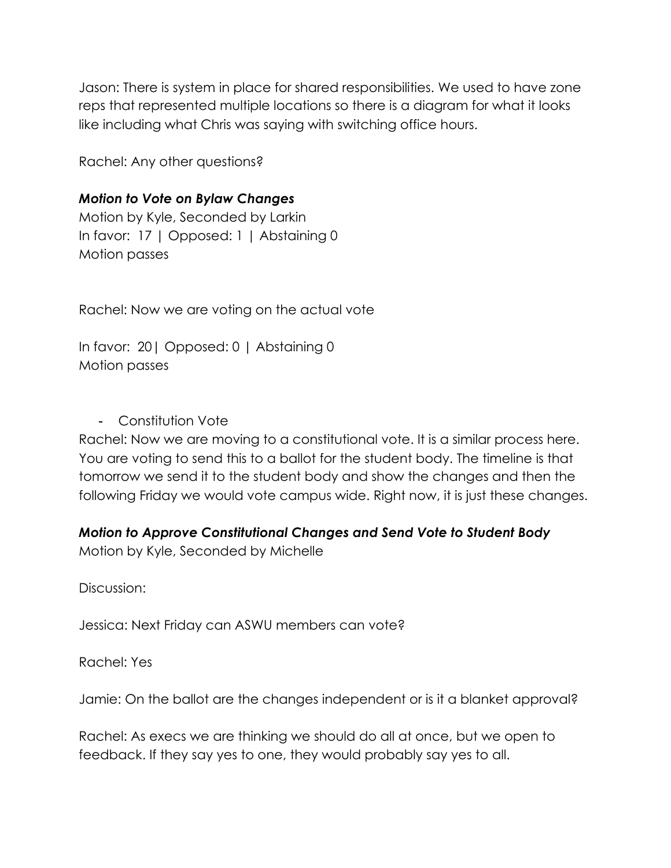Jason: There is system in place for shared responsibilities. We used to have zone reps that represented multiple locations so there is a diagram for what it looks like including what Chris was saying with switching office hours.

Rachel: Any other questions?

# *Motion to Vote on Bylaw Changes*

Motion by Kyle, Seconded by Larkin In favor: 17 | Opposed: 1 | Abstaining 0 Motion passes

Rachel: Now we are voting on the actual vote

In favor: 20| Opposed: 0 | Abstaining 0 Motion passes

- Constitution Vote

Rachel: Now we are moving to a constitutional vote. It is a similar process here. You are voting to send this to a ballot for the student body. The timeline is that tomorrow we send it to the student body and show the changes and then the following Friday we would vote campus wide. Right now, it is just these changes.

# *Motion to Approve Constitutional Changes and Send Vote to Student Body*

Motion by Kyle, Seconded by Michelle

Discussion:

Jessica: Next Friday can ASWU members can vote?

Rachel: Yes

Jamie: On the ballot are the changes independent or is it a blanket approval?

Rachel: As execs we are thinking we should do all at once, but we open to feedback. If they say yes to one, they would probably say yes to all.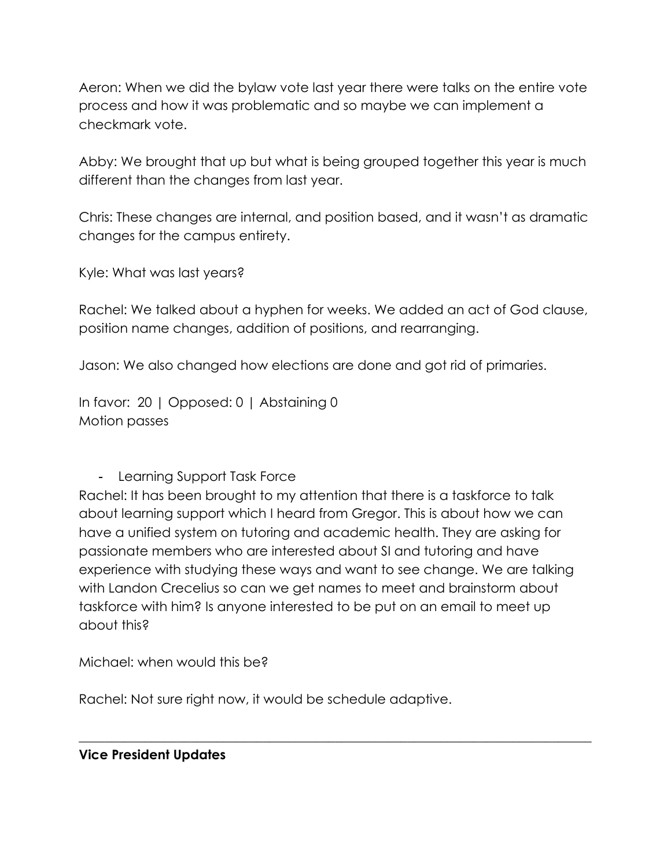Aeron: When we did the bylaw vote last year there were talks on the entire vote process and how it was problematic and so maybe we can implement a checkmark vote.

Abby: We brought that up but what is being grouped together this year is much different than the changes from last year.

Chris: These changes are internal, and position based, and it wasn't as dramatic changes for the campus entirety.

Kyle: What was last years?

Rachel: We talked about a hyphen for weeks. We added an act of God clause, position name changes, addition of positions, and rearranging.

Jason: We also changed how elections are done and got rid of primaries.

In favor: 20 | Opposed: 0 | Abstaining 0 Motion passes

- Learning Support Task Force

Rachel: It has been brought to my attention that there is a taskforce to talk about learning support which I heard from Gregor. This is about how we can have a unified system on tutoring and academic health. They are asking for passionate members who are interested about SI and tutoring and have experience with studying these ways and want to see change. We are talking with Landon Crecelius so can we get names to meet and brainstorm about taskforce with him? Is anyone interested to be put on an email to meet up about this?

 $\_$  , and the set of the set of the set of the set of the set of the set of the set of the set of the set of the set of the set of the set of the set of the set of the set of the set of the set of the set of the set of th

Michael: when would this be?

Rachel: Not sure right now, it would be schedule adaptive.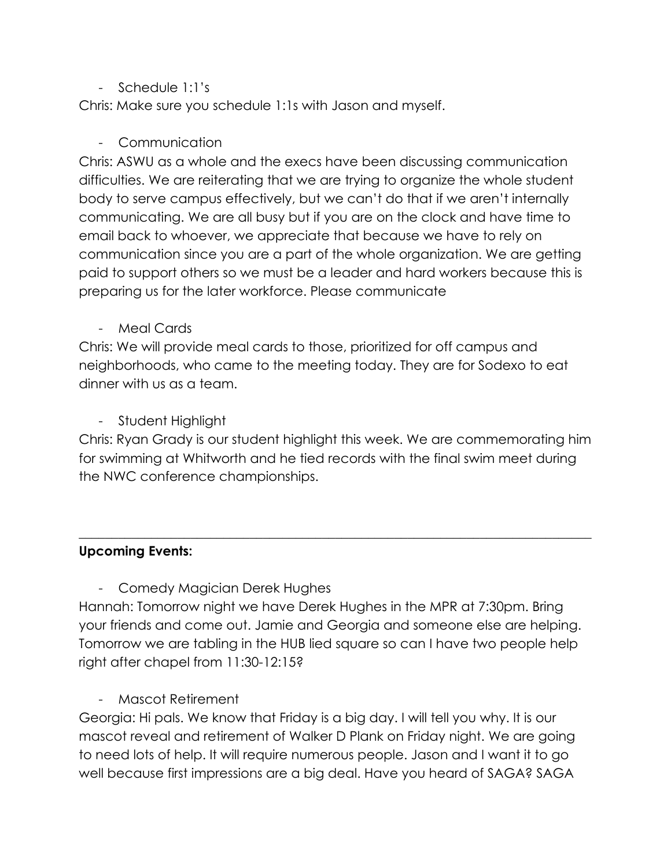# - Schedule 1:1's

Chris: Make sure you schedule 1:1s with Jason and myself.

# - Communication

Chris: ASWU as a whole and the execs have been discussing communication difficulties. We are reiterating that we are trying to organize the whole student body to serve campus effectively, but we can't do that if we aren't internally communicating. We are all busy but if you are on the clock and have time to email back to whoever, we appreciate that because we have to rely on communication since you are a part of the whole organization. We are getting paid to support others so we must be a leader and hard workers because this is preparing us for the later workforce. Please communicate

- Meal Cards

Chris: We will provide meal cards to those, prioritized for off campus and neighborhoods, who came to the meeting today. They are for Sodexo to eat dinner with us as a team.

Student Highlight

Chris: Ryan Grady is our student highlight this week. We are commemorating him for swimming at Whitworth and he tied records with the final swim meet during the NWC conference championships.

 $\_$  , and the set of the set of the set of the set of the set of the set of the set of the set of the set of the set of the set of the set of the set of the set of the set of the set of the set of the set of the set of th

# **Upcoming Events:**

- Comedy Magician Derek Hughes

Hannah: Tomorrow night we have Derek Hughes in the MPR at 7:30pm. Bring your friends and come out. Jamie and Georgia and someone else are helping. Tomorrow we are tabling in the HUB lied square so can I have two people help right after chapel from 11:30-12:15?

- Mascot Retirement

Georgia: Hi pals. We know that Friday is a big day. I will tell you why. It is our mascot reveal and retirement of Walker D Plank on Friday night. We are going to need lots of help. It will require numerous people. Jason and I want it to go well because first impressions are a big deal. Have you heard of SAGA? SAGA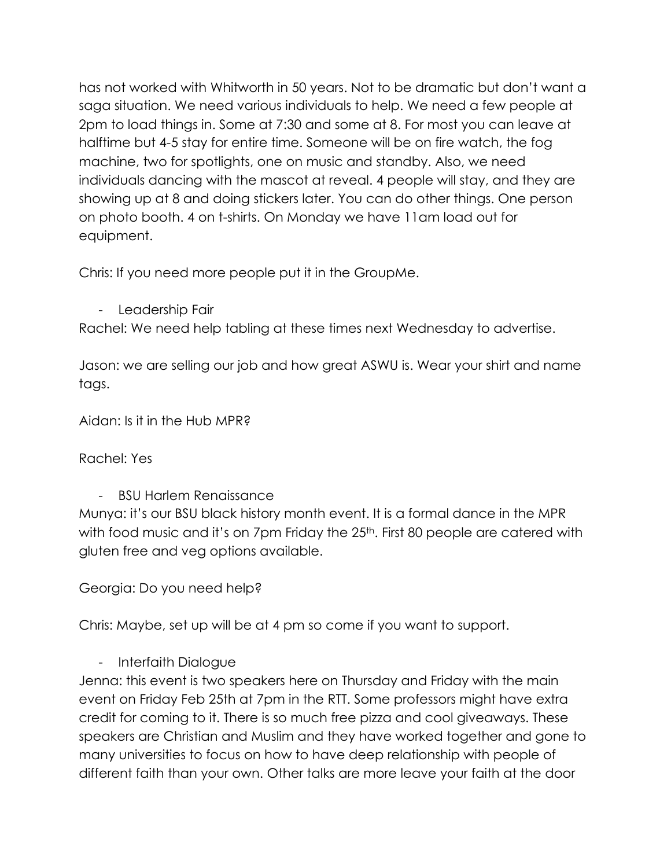has not worked with Whitworth in 50 years. Not to be dramatic but don't want a saga situation. We need various individuals to help. We need a few people at 2pm to load things in. Some at 7:30 and some at 8. For most you can leave at halftime but 4-5 stay for entire time. Someone will be on fire watch, the fog machine, two for spotlights, one on music and standby. Also, we need individuals dancing with the mascot at reveal. 4 people will stay, and they are showing up at 8 and doing stickers later. You can do other things. One person on photo booth. 4 on t-shirts. On Monday we have 11am load out for equipment.

Chris: If you need more people put it in the GroupMe.

- Leadership Fair

Rachel: We need help tabling at these times next Wednesday to advertise.

Jason: we are selling our job and how great ASWU is. Wear your shirt and name tags.

Aidan: Is it in the Hub MPR?

Rachel: Yes

- BSU Harlem Renaissance

Munya: it's our BSU black history month event. It is a formal dance in the MPR with food music and it's on 7pm Friday the 25<sup>th</sup>. First 80 people are catered with gluten free and veg options available.

Georgia: Do you need help?

Chris: Maybe, set up will be at 4 pm so come if you want to support.

- Interfaith Dialogue

Jenna: this event is two speakers here on Thursday and Friday with the main event on Friday Feb 25th at 7pm in the RTT. Some professors might have extra credit for coming to it. There is so much free pizza and cool giveaways. These speakers are Christian and Muslim and they have worked together and gone to many universities to focus on how to have deep relationship with people of different faith than your own. Other talks are more leave your faith at the door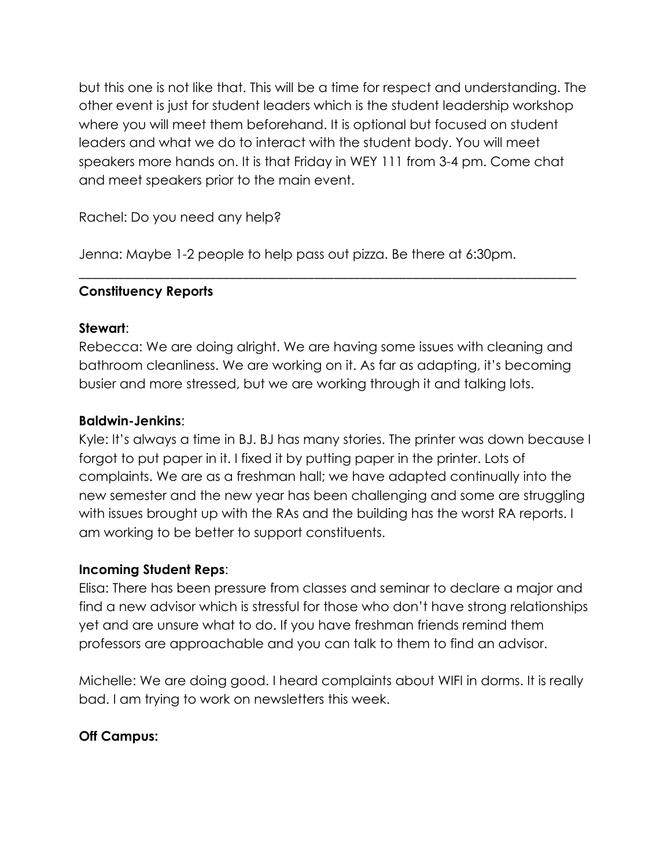but this one is not like that. This will be a time for respect and understanding. The other event is just for student leaders which is the student leadership workshop where you will meet them beforehand. It is optional but focused on student leaders and what we do to interact with the student body. You will meet speakers more hands on. It is that Friday in WEY 111 from 3-4 pm. Come chat and meet speakers prior to the main event.

Rachel: Do you need any help?

Jenna: Maybe 1-2 people to help pass out pizza. Be there at 6:30pm.

## **Constituency Reports**

### **Stewart**:

Rebecca: We are doing alright. We are having some issues with cleaning and bathroom cleanliness. We are working on it. As far as adapting, it's becoming busier and more stressed, but we are working through it and talking lots.

\_\_\_\_\_\_\_\_\_\_\_\_\_\_\_\_\_\_\_\_\_\_\_\_\_\_\_\_\_\_\_\_\_\_\_\_\_\_\_\_\_\_\_\_\_\_\_\_\_\_\_\_\_\_\_\_\_\_\_\_\_\_\_\_\_\_\_\_\_\_\_\_\_\_\_\_

## **Baldwin-Jenkins**:

Kyle: It's always a time in BJ. BJ has many stories. The printer was down because I forgot to put paper in it. I fixed it by putting paper in the printer. Lots of complaints. We are as a freshman hall; we have adapted continually into the new semester and the new year has been challenging and some are struggling with issues brought up with the RAs and the building has the worst RA reports. I am working to be better to support constituents.

### **Incoming Student Reps**:

Elisa: There has been pressure from classes and seminar to declare a major and find a new advisor which is stressful for those who don't have strong relationships yet and are unsure what to do. If you have freshman friends remind them professors are approachable and you can talk to them to find an advisor.

Michelle: We are doing good. I heard complaints about WIFI in dorms. It is really bad. I am trying to work on newsletters this week.

# **Off Campus:**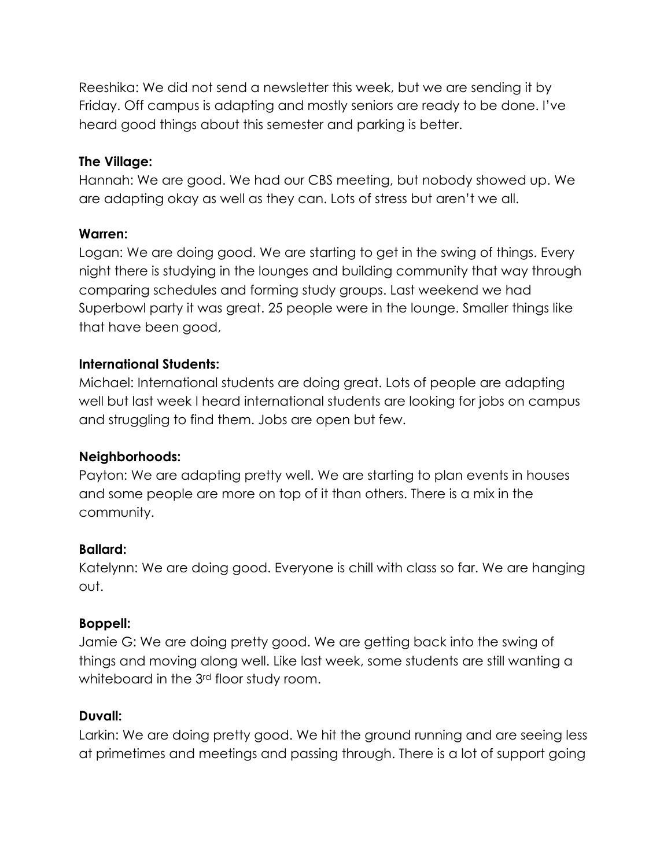Reeshika: We did not send a newsletter this week, but we are sending it by Friday. Off campus is adapting and mostly seniors are ready to be done. I've heard good things about this semester and parking is better.

# **The Village:**

Hannah: We are good. We had our CBS meeting, but nobody showed up. We are adapting okay as well as they can. Lots of stress but aren't we all.

## **Warren:**

Logan: We are doing good. We are starting to get in the swing of things. Every night there is studying in the lounges and building community that way through comparing schedules and forming study groups. Last weekend we had Superbowl party it was great. 25 people were in the lounge. Smaller things like that have been good,

## **International Students:**

Michael: International students are doing great. Lots of people are adapting well but last week I heard international students are looking for jobs on campus and struggling to find them. Jobs are open but few.

# **Neighborhoods:**

Payton: We are adapting pretty well. We are starting to plan events in houses and some people are more on top of it than others. There is a mix in the community.

### **Ballard:**

Katelynn: We are doing good. Everyone is chill with class so far. We are hanging out.

### **Boppell:**

Jamie G: We are doing pretty good. We are getting back into the swing of things and moving along well. Like last week, some students are still wanting a whiteboard in the 3<sup>rd</sup> floor study room.

# **Duvall:**

Larkin: We are doing pretty good. We hit the ground running and are seeing less at primetimes and meetings and passing through. There is a lot of support going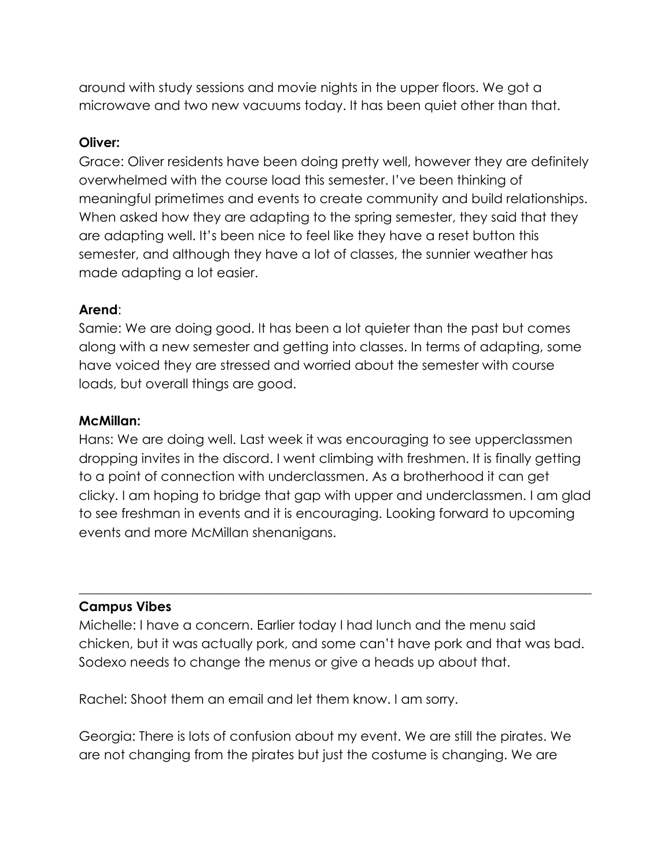around with study sessions and movie nights in the upper floors. We got a microwave and two new vacuums today. It has been quiet other than that.

### **Oliver:**

Grace: Oliver residents have been doing pretty well, however they are definitely overwhelmed with the course load this semester. I've been thinking of meaningful primetimes and events to create community and build relationships. When asked how they are adapting to the spring semester, they said that they are adapting well. It's been nice to feel like they have a reset button this semester, and although they have a lot of classes, the sunnier weather has made adapting a lot easier.

### **Arend**:

Samie: We are doing good. It has been a lot quieter than the past but comes along with a new semester and getting into classes. In terms of adapting, some have voiced they are stressed and worried about the semester with course loads, but overall things are good.

#### **McMillan:**

Hans: We are doing well. Last week it was encouraging to see upperclassmen dropping invites in the discord. I went climbing with freshmen. It is finally getting to a point of connection with underclassmen. As a brotherhood it can get clicky. I am hoping to bridge that gap with upper and underclassmen. I am glad to see freshman in events and it is encouraging. Looking forward to upcoming events and more McMillan shenanigans.

#### **Campus Vibes**

Michelle: I have a concern. Earlier today I had lunch and the menu said chicken, but it was actually pork, and some can't have pork and that was bad. Sodexo needs to change the menus or give a heads up about that.

 $\_$  , and the set of the set of the set of the set of the set of the set of the set of the set of the set of the set of the set of the set of the set of the set of the set of the set of the set of the set of the set of th

Rachel: Shoot them an email and let them know. I am sorry.

Georgia: There is lots of confusion about my event. We are still the pirates. We are not changing from the pirates but just the costume is changing. We are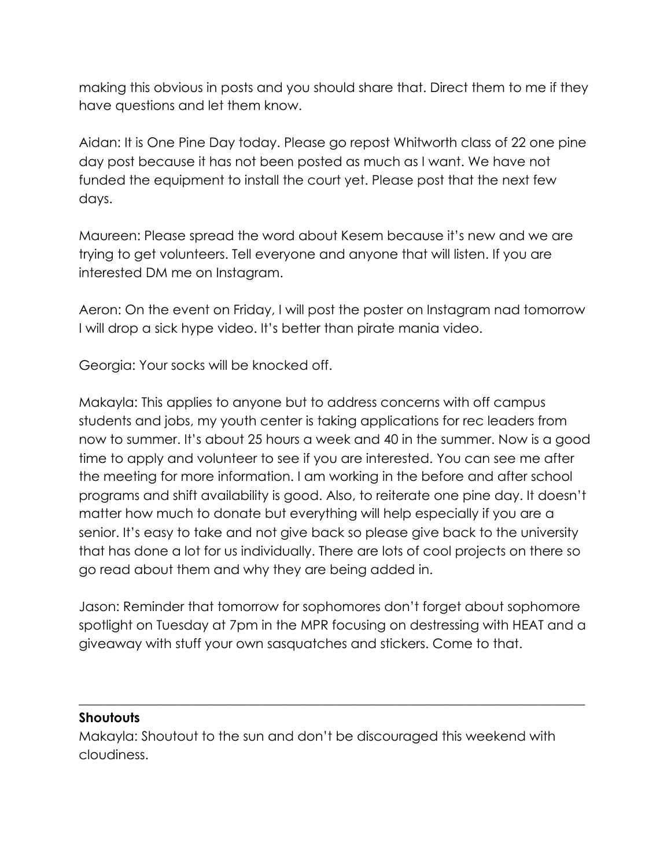making this obvious in posts and you should share that. Direct them to me if they have questions and let them know.

Aidan: It is One Pine Day today. Please go repost Whitworth class of 22 one pine day post because it has not been posted as much as I want. We have not funded the equipment to install the court yet. Please post that the next few days.

Maureen: Please spread the word about Kesem because it's new and we are trying to get volunteers. Tell everyone and anyone that will listen. If you are interested DM me on Instagram.

Aeron: On the event on Friday, I will post the poster on Instagram nad tomorrow I will drop a sick hype video. It's better than pirate mania video.

Georgia: Your socks will be knocked off.

Makayla: This applies to anyone but to address concerns with off campus students and jobs, my youth center is taking applications for rec leaders from now to summer. It's about 25 hours a week and 40 in the summer. Now is a good time to apply and volunteer to see if you are interested. You can see me after the meeting for more information. I am working in the before and after school programs and shift availability is good. Also, to reiterate one pine day. It doesn't matter how much to donate but everything will help especially if you are a senior. It's easy to take and not give back so please give back to the university that has done a lot for us individually. There are lots of cool projects on there so go read about them and why they are being added in.

Jason: Reminder that tomorrow for sophomores don't forget about sophomore spotlight on Tuesday at 7pm in the MPR focusing on destressing with HEAT and a giveaway with stuff your own sasquatches and stickers. Come to that.

 $\_$  , and the set of the set of the set of the set of the set of the set of the set of the set of the set of the set of the set of the set of the set of the set of the set of the set of the set of the set of the set of th

### **Shoutouts**

Makayla: Shoutout to the sun and don't be discouraged this weekend with cloudiness.